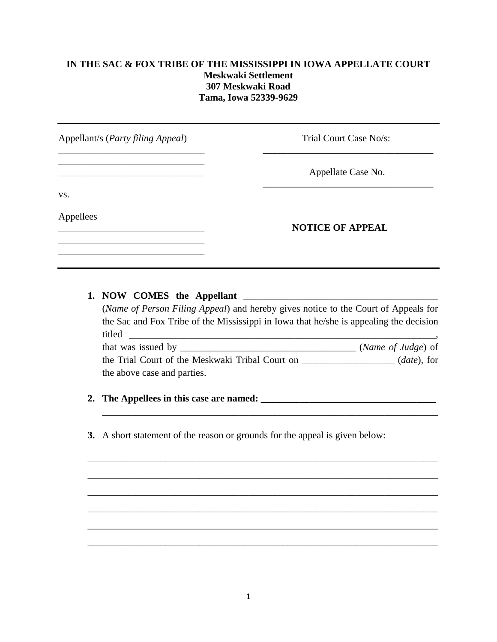## **IN THE SAC & FOX TRIBE OF THE MISSISSIPPI IN IOWA APPELLATE COURT Meskwaki Settlement 307 Meskwaki Road Tama, Iowa 52339-9629**

| Trial Court Case No/s:  |
|-------------------------|
| Appellate Case No.      |
|                         |
| <b>NOTICE OF APPEAL</b> |
|                         |

## **1. NOW COMES the Appellant** \_\_\_\_\_\_\_\_\_\_\_\_\_\_\_\_\_\_\_\_\_\_\_\_\_\_\_\_\_\_\_\_\_\_\_\_\_\_\_\_

(*Name of Person Filing Appeal*) and hereby gives notice to the Court of Appeals for the Sac and Fox Tribe of the Mississippi in Iowa that he/she is appealing the decision titled \_\_\_\_\_\_\_\_\_\_\_\_\_\_\_\_\_\_\_\_\_\_\_\_\_\_\_\_\_\_\_\_\_\_\_\_\_\_\_\_\_\_\_\_\_\_\_\_\_\_\_\_\_\_\_\_\_\_\_\_\_\_\_, that was issued by \_\_\_\_\_\_\_\_\_\_\_\_\_\_\_\_\_\_\_\_\_\_\_\_\_\_\_\_\_\_\_\_\_\_\_\_ (*Name of Judge*) of the Trial Court of the Meskwaki Tribal Court on \_\_\_\_\_\_\_\_\_\_\_\_\_\_\_\_\_\_\_ (*date*), for

**\_\_\_\_\_\_\_\_\_\_\_\_\_\_\_\_\_\_\_\_\_\_\_\_\_\_\_\_\_\_\_\_\_\_\_\_\_\_\_\_\_\_\_\_\_\_\_\_\_\_\_\_\_\_\_\_\_\_\_\_\_\_\_\_\_\_\_\_\_**

\_\_\_\_\_\_\_\_\_\_\_\_\_\_\_\_\_\_\_\_\_\_\_\_\_\_\_\_\_\_\_\_\_\_\_\_\_\_\_\_\_\_\_\_\_\_\_\_\_\_\_\_\_\_\_\_\_\_\_\_\_\_\_\_\_\_\_\_\_\_\_\_

\_\_\_\_\_\_\_\_\_\_\_\_\_\_\_\_\_\_\_\_\_\_\_\_\_\_\_\_\_\_\_\_\_\_\_\_\_\_\_\_\_\_\_\_\_\_\_\_\_\_\_\_\_\_\_\_\_\_\_\_\_\_\_\_\_\_\_\_\_\_\_\_

\_\_\_\_\_\_\_\_\_\_\_\_\_\_\_\_\_\_\_\_\_\_\_\_\_\_\_\_\_\_\_\_\_\_\_\_\_\_\_\_\_\_\_\_\_\_\_\_\_\_\_\_\_\_\_\_\_\_\_\_\_\_\_\_\_\_\_\_\_\_\_\_

\_\_\_\_\_\_\_\_\_\_\_\_\_\_\_\_\_\_\_\_\_\_\_\_\_\_\_\_\_\_\_\_\_\_\_\_\_\_\_\_\_\_\_\_\_\_\_\_\_\_\_\_\_\_\_\_\_\_\_\_\_\_\_\_\_\_\_\_\_\_\_\_

\_\_\_\_\_\_\_\_\_\_\_\_\_\_\_\_\_\_\_\_\_\_\_\_\_\_\_\_\_\_\_\_\_\_\_\_\_\_\_\_\_\_\_\_\_\_\_\_\_\_\_\_\_\_\_\_\_\_\_\_\_\_\_\_\_\_\_\_\_\_\_\_

\_\_\_\_\_\_\_\_\_\_\_\_\_\_\_\_\_\_\_\_\_\_\_\_\_\_\_\_\_\_\_\_\_\_\_\_\_\_\_\_\_\_\_\_\_\_\_\_\_\_\_\_\_\_\_\_\_\_\_\_\_\_\_\_\_\_\_\_\_\_\_\_

the above case and parties.

## **2. The Appellees in this case are named: \_\_\_\_\_\_\_\_\_\_\_\_\_\_\_\_\_\_\_\_\_\_\_\_\_\_\_\_\_\_\_\_\_\_\_\_**

**3.** A short statement of the reason or grounds for the appeal is given below: